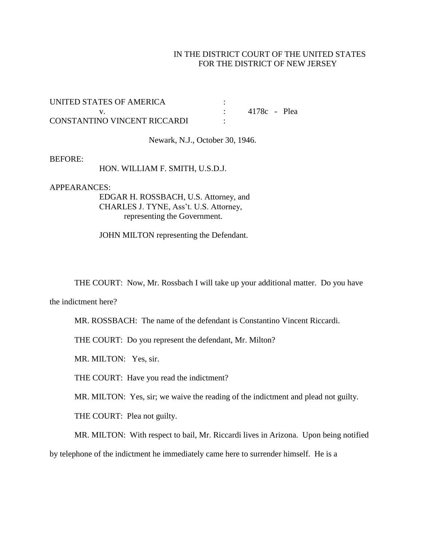## IN THE DISTRICT COURT OF THE UNITED STATES FOR THE DISTRICT OF NEW JERSEY

| UNITED STATES OF AMERICA     |              |  |
|------------------------------|--------------|--|
|                              | 4178c - Plea |  |
| CONSTANTINO VINCENT RICCARDI |              |  |

Newark, N.J., October 30, 1946.

## BEFORE:

HON. WILLIAM F. SMITH, U.S.D.J.

APPEARANCES:

EDGAR H. ROSSBACH, U.S. Attorney, and CHARLES J. TYNE, Ass't. U.S. Attorney, representing the Government.

JOHN MILTON representing the Defendant.

THE COURT: Now, Mr. Rossbach I will take up your additional matter. Do you have

the indictment here?

MR. ROSSBACH: The name of the defendant is Constantino Vincent Riccardi.

THE COURT: Do you represent the defendant, Mr. Milton?

MR. MILTON: Yes, sir.

THE COURT: Have you read the indictment?

MR. MILTON: Yes, sir; we waive the reading of the indictment and plead not guilty.

THE COURT: Plea not guilty.

MR. MILTON: With respect to bail, Mr. Riccardi lives in Arizona. Upon being notified by telephone of the indictment he immediately came here to surrender himself. He is a